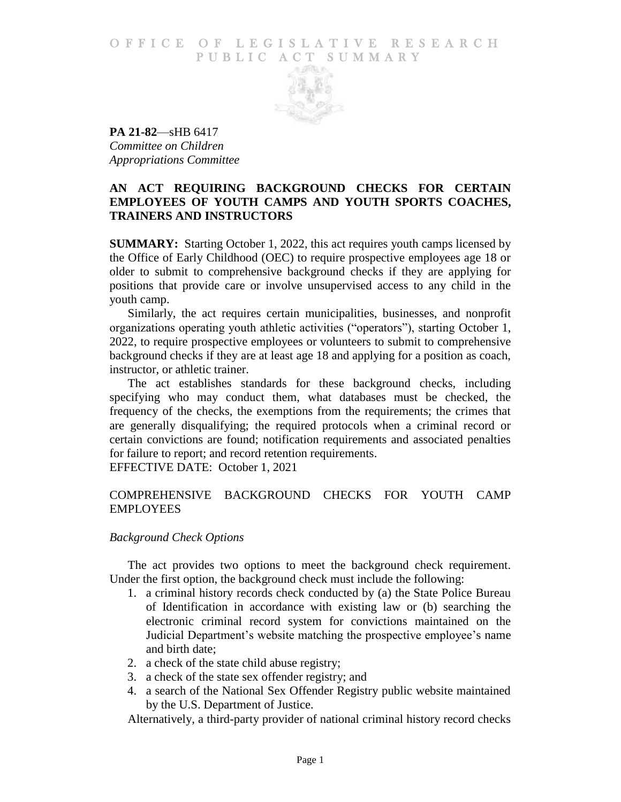#### O F FICE OF LEGISLATIVE RESEARCH PUBLIC ACT SUMMARY



**PA 21-82**—sHB 6417 *Committee on Children Appropriations Committee*

# **AN ACT REQUIRING BACKGROUND CHECKS FOR CERTAIN EMPLOYEES OF YOUTH CAMPS AND YOUTH SPORTS COACHES, TRAINERS AND INSTRUCTORS**

**SUMMARY:** Starting October 1, 2022, this act requires youth camps licensed by the Office of Early Childhood (OEC) to require prospective employees age 18 or older to submit to comprehensive background checks if they are applying for positions that provide care or involve unsupervised access to any child in the youth camp.

Similarly, the act requires certain municipalities, businesses, and nonprofit organizations operating youth athletic activities ("operators"), starting October 1, 2022, to require prospective employees or volunteers to submit to comprehensive background checks if they are at least age 18 and applying for a position as coach, instructor, or athletic trainer.

The act establishes standards for these background checks, including specifying who may conduct them, what databases must be checked, the frequency of the checks, the exemptions from the requirements; the crimes that are generally disqualifying; the required protocols when a criminal record or certain convictions are found; notification requirements and associated penalties for failure to report; and record retention requirements.

EFFECTIVE DATE: October 1, 2021

# COMPREHENSIVE BACKGROUND CHECKS FOR YOUTH CAMP EMPLOYEES

# *Background Check Options*

The act provides two options to meet the background check requirement. Under the first option, the background check must include the following:

- 1. a criminal history records check conducted by (a) the State Police Bureau of Identification in accordance with existing law or (b) searching the electronic criminal record system for convictions maintained on the Judicial Department's website matching the prospective employee's name and birth date;
- 2. a check of the state child abuse registry;
- 3. a check of the state sex offender registry; and
- 4. a search of the National Sex Offender Registry public website maintained by the U.S. Department of Justice.

Alternatively, a third-party provider of national criminal history record checks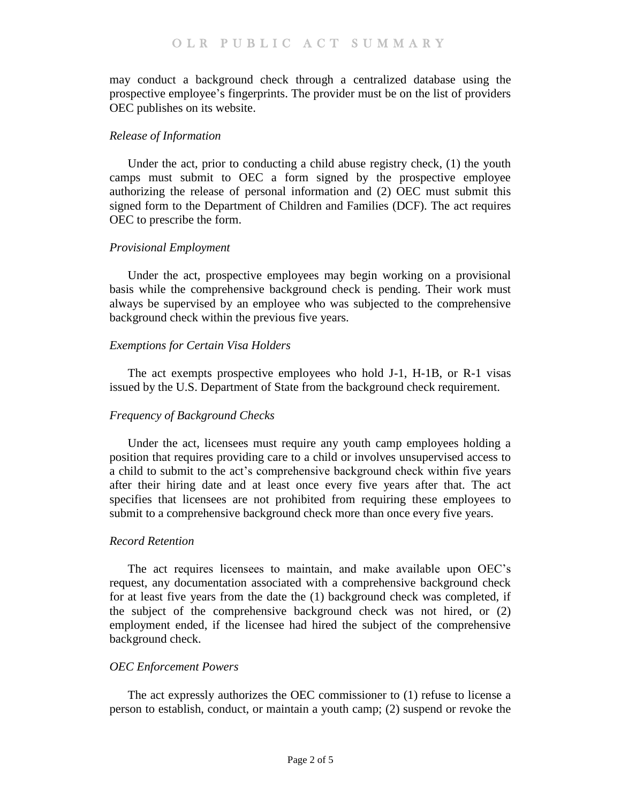may conduct a background check through a centralized database using the prospective employee's fingerprints. The provider must be on the list of providers OEC publishes on its website.

# *Release of Information*

Under the act, prior to conducting a child abuse registry check, (1) the youth camps must submit to OEC a form signed by the prospective employee authorizing the release of personal information and (2) OEC must submit this signed form to the Department of Children and Families (DCF). The act requires OEC to prescribe the form.

# *Provisional Employment*

Under the act, prospective employees may begin working on a provisional basis while the comprehensive background check is pending. Their work must always be supervised by an employee who was subjected to the comprehensive background check within the previous five years.

# *Exemptions for Certain Visa Holders*

The act exempts prospective employees who hold J-1, H-1B, or R-1 visas issued by the U.S. Department of State from the background check requirement.

# *Frequency of Background Checks*

Under the act, licensees must require any youth camp employees holding a position that requires providing care to a child or involves unsupervised access to a child to submit to the act's comprehensive background check within five years after their hiring date and at least once every five years after that. The act specifies that licensees are not prohibited from requiring these employees to submit to a comprehensive background check more than once every five years.

# *Record Retention*

The act requires licensees to maintain, and make available upon OEC's request, any documentation associated with a comprehensive background check for at least five years from the date the (1) background check was completed, if the subject of the comprehensive background check was not hired, or (2) employment ended, if the licensee had hired the subject of the comprehensive background check.

# *OEC Enforcement Powers*

The act expressly authorizes the OEC commissioner to (1) refuse to license a person to establish, conduct, or maintain a youth camp; (2) suspend or revoke the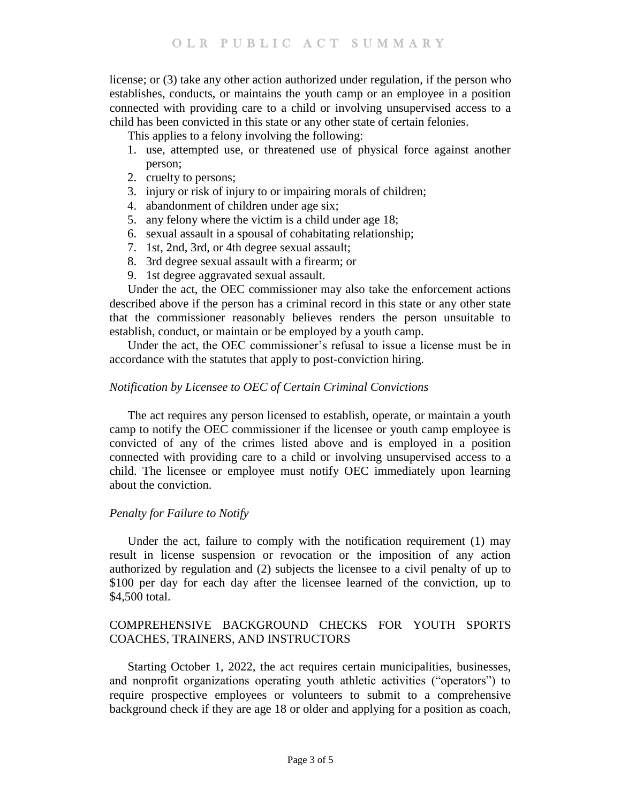license; or (3) take any other action authorized under regulation, if the person who establishes, conducts, or maintains the youth camp or an employee in a position connected with providing care to a child or involving unsupervised access to a child has been convicted in this state or any other state of certain felonies.

This applies to a felony involving the following:

- 1. use, attempted use, or threatened use of physical force against another person;
- 2. cruelty to persons;
- 3. injury or risk of injury to or impairing morals of children;
- 4. abandonment of children under age six;
- 5. any felony where the victim is a child under age 18;
- 6. sexual assault in a spousal of cohabitating relationship;
- 7. 1st, 2nd, 3rd, or 4th degree sexual assault;
- 8. 3rd degree sexual assault with a firearm; or
- 9. 1st degree aggravated sexual assault.

Under the act, the OEC commissioner may also take the enforcement actions described above if the person has a criminal record in this state or any other state that the commissioner reasonably believes renders the person unsuitable to establish, conduct, or maintain or be employed by a youth camp.

Under the act, the OEC commissioner's refusal to issue a license must be in accordance with the statutes that apply to post-conviction hiring.

#### *Notification by Licensee to OEC of Certain Criminal Convictions*

The act requires any person licensed to establish, operate, or maintain a youth camp to notify the OEC commissioner if the licensee or youth camp employee is convicted of any of the crimes listed above and is employed in a position connected with providing care to a child or involving unsupervised access to a child. The licensee or employee must notify OEC immediately upon learning about the conviction.

# *Penalty for Failure to Notify*

Under the act, failure to comply with the notification requirement (1) may result in license suspension or revocation or the imposition of any action authorized by regulation and (2) subjects the licensee to a civil penalty of up to \$100 per day for each day after the licensee learned of the conviction, up to \$4,500 total.

# COMPREHENSIVE BACKGROUND CHECKS FOR YOUTH SPORTS COACHES, TRAINERS, AND INSTRUCTORS

Starting October 1, 2022, the act requires certain municipalities, businesses, and nonprofit organizations operating youth athletic activities ("operators") to require prospective employees or volunteers to submit to a comprehensive background check if they are age 18 or older and applying for a position as coach,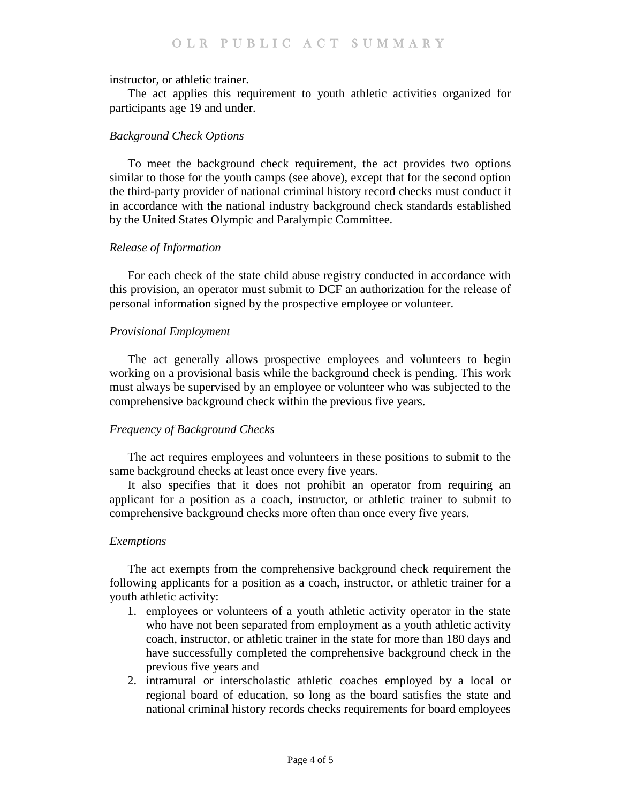#### instructor, or athletic trainer.

The act applies this requirement to youth athletic activities organized for participants age 19 and under.

# *Background Check Options*

To meet the background check requirement, the act provides two options similar to those for the youth camps (see above), except that for the second option the third-party provider of national criminal history record checks must conduct it in accordance with the national industry background check standards established by the United States Olympic and Paralympic Committee.

# *Release of Information*

For each check of the state child abuse registry conducted in accordance with this provision, an operator must submit to DCF an authorization for the release of personal information signed by the prospective employee or volunteer.

# *Provisional Employment*

The act generally allows prospective employees and volunteers to begin working on a provisional basis while the background check is pending. This work must always be supervised by an employee or volunteer who was subjected to the comprehensive background check within the previous five years.

# *Frequency of Background Checks*

The act requires employees and volunteers in these positions to submit to the same background checks at least once every five years.

It also specifies that it does not prohibit an operator from requiring an applicant for a position as a coach, instructor, or athletic trainer to submit to comprehensive background checks more often than once every five years.

# *Exemptions*

The act exempts from the comprehensive background check requirement the following applicants for a position as a coach, instructor, or athletic trainer for a youth athletic activity:

- 1. employees or volunteers of a youth athletic activity operator in the state who have not been separated from employment as a youth athletic activity coach, instructor, or athletic trainer in the state for more than 180 days and have successfully completed the comprehensive background check in the previous five years and
- 2. intramural or interscholastic athletic coaches employed by a local or regional board of education, so long as the board satisfies the state and national criminal history records checks requirements for board employees